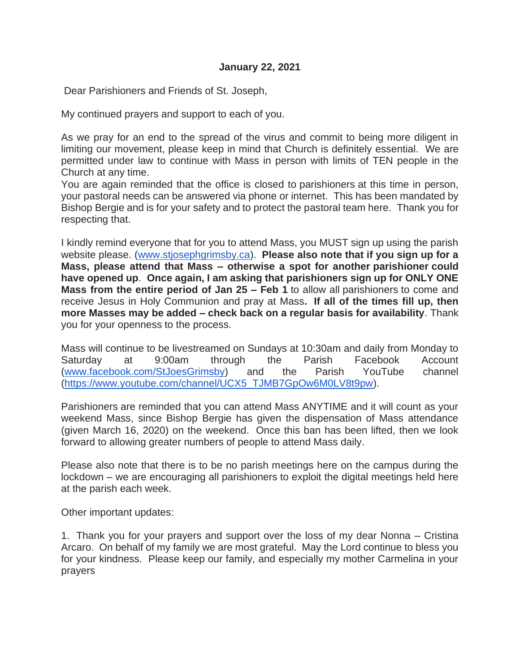Dear Parishioners and Friends of St. Joseph,

My continued prayers and support to each of you.

As we pray for an end to the spread of the virus and commit to being more diligent in limiting our movement, please keep in mind that Church is definitely essential. We are permitted under law to continue with Mass in person with limits of TEN people in the Church at any time.

You are again reminded that the office is closed to parishioners at this time in person, your pastoral needs can be answered via phone or internet. This has been mandated by Bishop Bergie and is for your safety and to protect the pastoral team here. Thank you for respecting that.

I kindly remind everyone that for you to attend Mass, you MUST sign up using the parish website please. [\(www.stjosephgrimsby.ca\)](http://www.stjosephgrimsby.ca/). **Please also note that if you sign up for a Mass, please attend that Mass – otherwise a spot for another parishioner could have opened up**. **Once again, I am asking that parishioners sign up for ONLY ONE Mass from the entire period of Jan 25 – Feb 1** to allow all parishioners to come and receive Jesus in Holy Communion and pray at Mass**. If all of the times fill up, then more Masses may be added – check back on a regular basis for availability**. Thank you for your openness to the process.

Mass will continue to be livestreamed on Sundays at 10:30am and daily from Monday to Saturday at 9:00am through the Parish Facebook Account [\(www.facebook.com/StJoesGrimsby\)](http://www.facebook.com/StJoesGrimsby) and the Parish YouTube channel [\(https://www.youtube.com/channel/UCX5\\_TJMB7GpOw6M0LV8t9pw\)](https://www.youtube.com/channel/UCX5_TJMB7GpOw6M0LV8t9pw).

Parishioners are reminded that you can attend Mass ANYTIME and it will count as your weekend Mass, since Bishop Bergie has given the dispensation of Mass attendance (given March 16, 2020) on the weekend. Once this ban has been lifted, then we look forward to allowing greater numbers of people to attend Mass daily.

Please also note that there is to be no parish meetings here on the campus during the lockdown – we are encouraging all parishioners to exploit the digital meetings held here at the parish each week.

Other important updates:

1. Thank you for your prayers and support over the loss of my dear Nonna – Cristina Arcaro. On behalf of my family we are most grateful. May the Lord continue to bless you for your kindness. Please keep our family, and especially my mother Carmelina in your prayers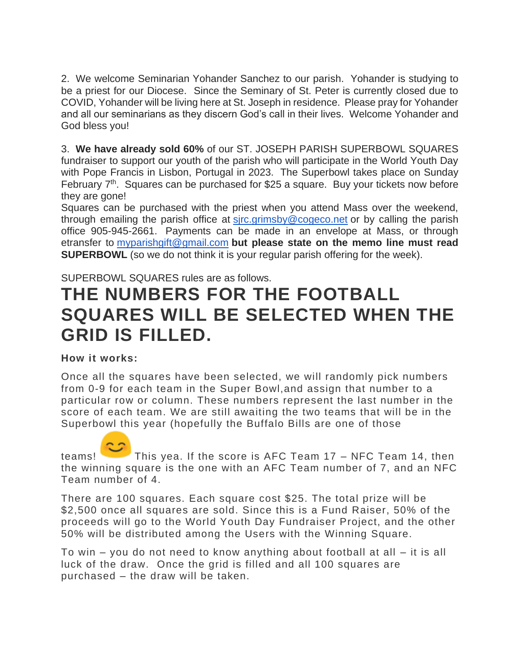2. We welcome Seminarian Yohander Sanchez to our parish. Yohander is studying to be a priest for our Diocese. Since the Seminary of St. Peter is currently closed due to COVID, Yohander will be living here at St. Joseph in residence. Please pray for Yohander and all our seminarians as they discern God's call in their lives. Welcome Yohander and God bless you!

3. **We have already sold 60%** of our ST. JOSEPH PARISH SUPERBOWL SQUARES fundraiser to support our youth of the parish who will participate in the World Youth Day with Pope Francis in Lisbon, Portugal in 2023. The Superbowl takes place on Sunday February 7<sup>th</sup>. Squares can be purchased for \$25 a square. Buy your tickets now before they are gone!

Squares can be purchased with the priest when you attend Mass over the weekend, through emailing the parish office at [sjrc.grimsby@cogeco.net](mailto:sjrc.grimsby@cogeco.net) or by calling the parish office 905-945-2661. Payments can be made in an envelope at Mass, or through etransfer to [myparishgift@gmail.com](mailto:myparishgift@gmail.com) **but please state on the memo line must read SUPERBOWL** (so we do not think it is your regular parish offering for the week).

## SUPERBOWL SQUARES rules are as follows.

# **THE NUMBERS FOR THE FOOTBALL SQUARES WILL BE SELECTED WHEN THE GRID IS FILLED.**

#### **How it works:**

Once all the squares have been selected, we will randomly pick numbers from 0-9 for each team in the Super Bowl,and assign that number to a particular row or column. These numbers represent the last number in the score of each team. We are still awaiting the two teams that will be in the Superbowl this year (hopefully the Buffalo Bills are one of those

teams! This yea. If the score is AFC Team 17 – NFC Team 14, then the winning square is the one with an AFC Team number of 7, and an NFC Team number of 4.

There are 100 squares. Each square cost \$25. The total prize will be \$2,500 once all squares are sold. Since this is a Fund Raiser, 50% of the proceeds will go to the World Youth Day Fundraiser Project, and the other 50% will be distributed among the Users with the Winning Square.

To win – you do not need to know anything about football at all – it is all luck of the draw. Once the grid is filled and all 100 squares are purchased – the draw will be taken.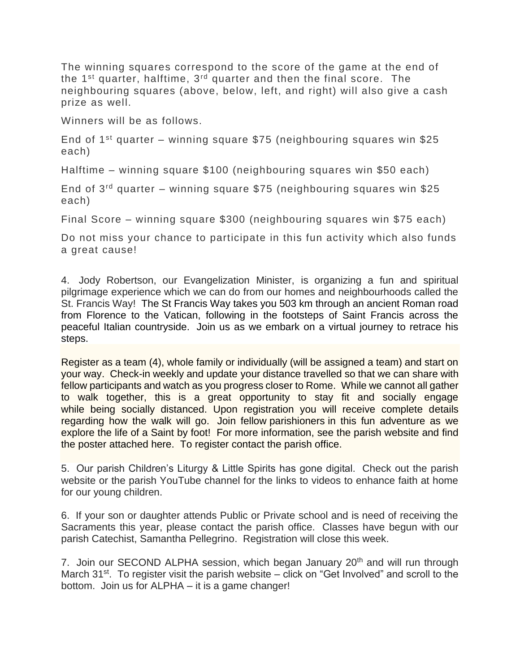The winning squares correspond to the score of the game at the end of the  $1<sup>st</sup>$  quarter, halftime,  $3<sup>rd</sup>$  quarter and then the final score. The neighbouring squares (above, below, left, and right) will also give a cash prize as well.

Winners will be as follows.

End of 1<sup>st</sup> quarter – winning square \$75 (neighbouring squares win \$25 each)

Halftime – winning square \$100 (neighbouring squares win \$50 each)

End of  $3^{rd}$  quarter – winning square \$75 (neighbouring squares win \$25 each)

Final Score – winning square \$300 (neighbouring squares win \$75 each)

Do not miss your chance to participate in this fun activity which also funds a great cause!

4. Jody Robertson, our Evangelization Minister, is organizing a fun and spiritual pilgrimage experience which we can do from our homes and neighbourhoods called the St. Francis Way! The St Francis Way takes you 503 km through an ancient Roman road from Florence to the Vatican, following in the footsteps of Saint Francis across the peaceful Italian countryside. Join us as we embark on a virtual journey to retrace his steps.

Register as a team (4), whole family or individually (will be assigned a team) and start on your way. Check-in weekly and update your distance travelled so that we can share with fellow participants and watch as you progress closer to Rome. While we cannot all gather to walk together, this is a great opportunity to stay fit and socially engage while being socially distanced. Upon registration you will receive complete details regarding how the walk will go. Join fellow parishioners in this fun adventure as we explore the life of a Saint by foot! For more information, see the parish website and find the poster attached here. To register contact the parish office.

5. Our parish Children's Liturgy & Little Spirits has gone digital. Check out the parish website or the parish YouTube channel for the links to videos to enhance faith at home for our young children.

6. If your son or daughter attends Public or Private school and is need of receiving the Sacraments this year, please contact the parish office. Classes have begun with our parish Catechist, Samantha Pellegrino. Registration will close this week.

7. Join our SECOND ALPHA session, which began January 20<sup>th</sup> and will run through March 31<sup>st</sup>. To register visit the parish website – click on "Get Involved" and scroll to the bottom. Join us for ALPHA – it is a game changer!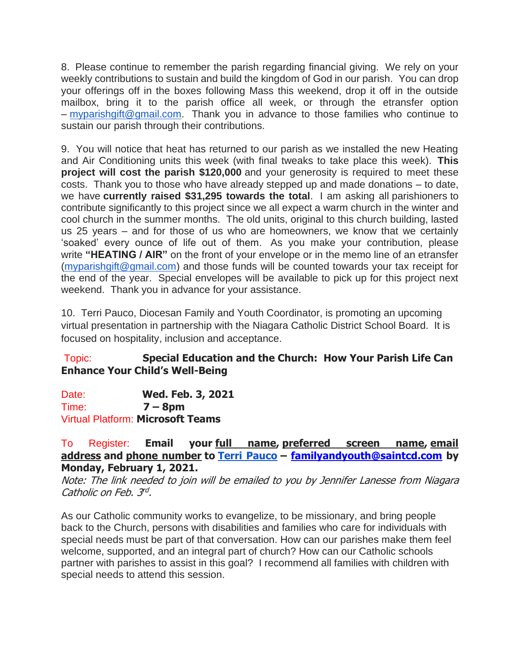8. Please continue to remember the parish regarding financial giving. We rely on your weekly contributions to sustain and build the kingdom of God in our parish. You can drop your offerings off in the boxes following Mass this weekend, drop it off in the outside mailbox, bring it to the parish office all week, or through the etransfer option – [myparishgift@gmail.com.](mailto:myparishgift@gmail.com) Thank you in advance to those families who continue to sustain our parish through their contributions.

9. You will notice that heat has returned to our parish as we installed the new Heating and Air Conditioning units this week (with final tweaks to take place this week). **This project will cost the parish \$120,000** and your generosity is required to meet these costs. Thank you to those who have already stepped up and made donations – to date, we have **currently raised \$31,295 towards the total**. I am asking all parishioners to contribute significantly to this project since we all expect a warm church in the winter and cool church in the summer months. The old units, original to this church building, lasted us 25 years – and for those of us who are homeowners, we know that we certainly 'soaked' every ounce of life out of them. As you make your contribution, please write **"HEATING / AIR"** on the front of your envelope or in the memo line of an etransfer [\(myparishgift@gmail.com\)](mailto:myparishgift@gmail.com) and those funds will be counted towards your tax receipt for the end of the year. Special envelopes will be available to pick up for this project next weekend. Thank you in advance for your assistance.

10. Terri Pauco, Diocesan Family and Youth Coordinator, is promoting an upcoming virtual presentation in partnership with the Niagara Catholic District School Board. It is focused on hospitality, inclusion and acceptance.

# Topic: **Special Education and the Church: How Your Parish Life Can Enhance Your Child's Well-Being**

Date: **Wed. Feb. 3, 2021** Time: **7 – 8pm** Virtual Platform: **Microsoft Teams**

### To Register: **Email your full name, preferred screen name, email address and phone number to [Terri Pauco](mailto:familyandyouth@saintcd.com) – [familyandyouth@saintcd.com](mailto:familyandyouth@saintcd.com) by Monday, February 1, 2021.**

Note: The link needed to join will be emailed to you by Jennifer Lanesse from Niagara Catholic on Feb. 3rd.

As our Catholic community works to evangelize, to be missionary, and bring people back to the Church, persons with disabilities and families who care for individuals with special needs must be part of that conversation. How can our parishes make them feel welcome, supported, and an integral part of church? How can our Catholic schools partner with parishes to assist in this goal? I recommend all families with children with special needs to attend this session.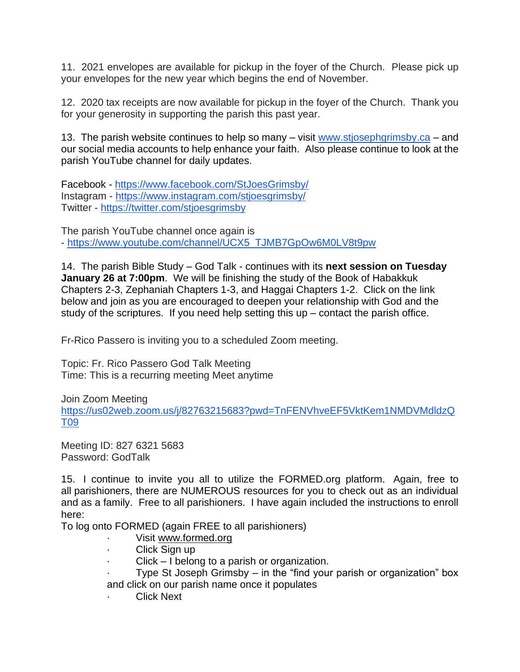11. 2021 envelopes are available for pickup in the foyer of the Church. Please pick up your envelopes for the new year which begins the end of November.

12. 2020 tax receipts are now available for pickup in the foyer of the Church. Thank you for your generosity in supporting the parish this past year.

13. The parish website continues to help so many – visit [www.stjosephgrimsby.ca](http://www.stjosephgrimsby.ca/) – and our social media accounts to help enhance your faith. Also please continue to look at the parish YouTube channel for daily updates.

Facebook - <https://www.facebook.com/StJoesGrimsby/> Instagram - <https://www.instagram.com/stjoesgrimsby/> Twitter - <https://twitter.com/stjoesgrimsby>

The parish YouTube channel once again is - [https://www.youtube.com/channel/UCX5\\_TJMB7GpOw6M0LV8t9pw](https://www.youtube.com/channel/UCX5_TJMB7GpOw6M0LV8t9pw)

14. The parish Bible Study – God Talk - continues with its **next session on Tuesday January 26 at 7:00pm**. We will be finishing the study of the Book of Habakkuk Chapters 2-3, Zephaniah Chapters 1-3, and Haggai Chapters 1-2. Click on the link below and join as you are encouraged to deepen your relationship with God and the study of the scriptures. If you need help setting this up – contact the parish office.

Fr-Rico Passero is inviting you to a scheduled Zoom meeting.

Topic: Fr. Rico Passero God Talk Meeting Time: This is a recurring meeting Meet anytime

Join Zoom Meeting

[https://us02web.zoom.us/j/82763215683?pwd=TnFENVhveEF5VktKem1NMDVMdldzQ](https://us02web.zoom.us/j/82763215683?pwd=TnFENVhveEF5VktKem1NMDVMdldzQT09) [T09](https://us02web.zoom.us/j/82763215683?pwd=TnFENVhveEF5VktKem1NMDVMdldzQT09)

Meeting ID: 827 6321 5683 Password: GodTalk

15. I continue to invite you all to utilize the FORMED.org platform. Again, free to all parishioners, there are NUMEROUS resources for you to check out as an individual and as a family. Free to all parishioners. I have again included the instructions to enroll here:

To log onto FORMED (again FREE to all parishioners)

- Visit [www.formed.org](http://www.formed.org/)
- Click Sign up
- Click I belong to a parish or organization.
- Type St Joseph Grimsby in the "find your parish or organization" box and click on our parish name once it populates
- **Click Next**